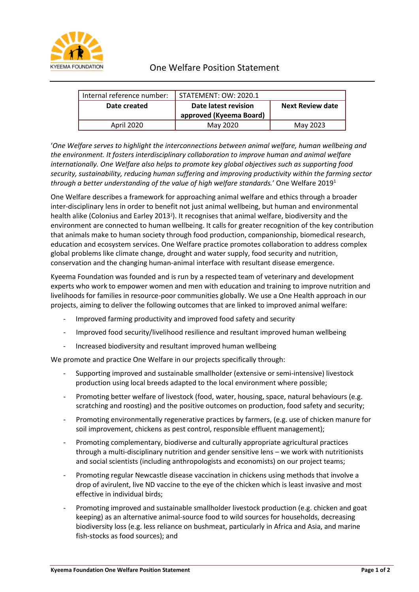

| Internal reference number: | . STATEMENT: OW: 2020.1 |                         |
|----------------------------|-------------------------|-------------------------|
| Date created               | Date latest revision    | <b>Next Review date</b> |
|                            | approved (Kyeema Board) |                         |
| <b>April 2020</b>          | May 2020                | May 2023                |

'*One Welfare serves to highlight the interconnections between animal welfare, human wellbeing and the environment. It fosters interdisciplinary collaboration to improve human and animal welfare internationally. One Welfare also helps to promote key global objectives such as supporting food security, sustainability, reducing human suffering and improving productivity within the farming sector through a better understanding of the value of high welfare standards.*' One Welfare 2019<sup>1</sup>

One Welfare describes a framework for approaching animal welfare and ethics through a broader inter-disciplinary lens in order to benefit not just animal wellbeing, but human and environmental health alike (Colonius and Earley 2013<sup>2</sup>). It recognises that animal welfare, biodiversity and the environment are connected to human wellbeing. It calls for greater recognition of the key contribution that animals make to human society through food production, companionship, biomedical research, education and ecosystem services. One Welfare practice promotes collaboration to address complex global problems like climate change, drought and water supply, food security and nutrition, conservation and the changing human-animal interface with resultant disease emergence.

Kyeema Foundation was founded and is run by a respected team of veterinary and development experts who work to empower women and men with education and training to improve nutrition and livelihoods for families in resource-poor communities globally. We use a One Health approach in our projects, aiming to deliver the following outcomes that are linked to improved animal welfare:

- Improved farming productivity and improved food safety and security
- Improved food security/livelihood resilience and resultant improved human wellbeing
- Increased biodiversity and resultant improved human wellbeing

We promote and practice One Welfare in our projects specifically through:

- Supporting improved and sustainable smallholder (extensive or semi-intensive) livestock production using local breeds adapted to the local environment where possible;
- Promoting better welfare of livestock (food, water, housing, space, natural behaviours (e.g. scratching and roosting) and the positive outcomes on production, food safety and security;
- Promoting environmentally regenerative practices by farmers, (e.g. use of chicken manure for soil improvement, chickens as pest control, responsible effluent management);
- Promoting complementary, biodiverse and culturally appropriate agricultural practices through a multi-disciplinary nutrition and gender sensitive lens – we work with nutritionists and social scientists (including anthropologists and economists) on our project teams;
- Promoting regular Newcastle disease vaccination in chickens using methods that involve a drop of avirulent, live ND vaccine to the eye of the chicken which is least invasive and most effective in individual birds;
- Promoting improved and sustainable smallholder livestock production (e.g. chicken and goat keeping) as an alternative animal-source food to wild sources for households, decreasing biodiversity loss (e.g. less reliance on bushmeat, particularly in Africa and Asia, and marine fish-stocks as food sources); and